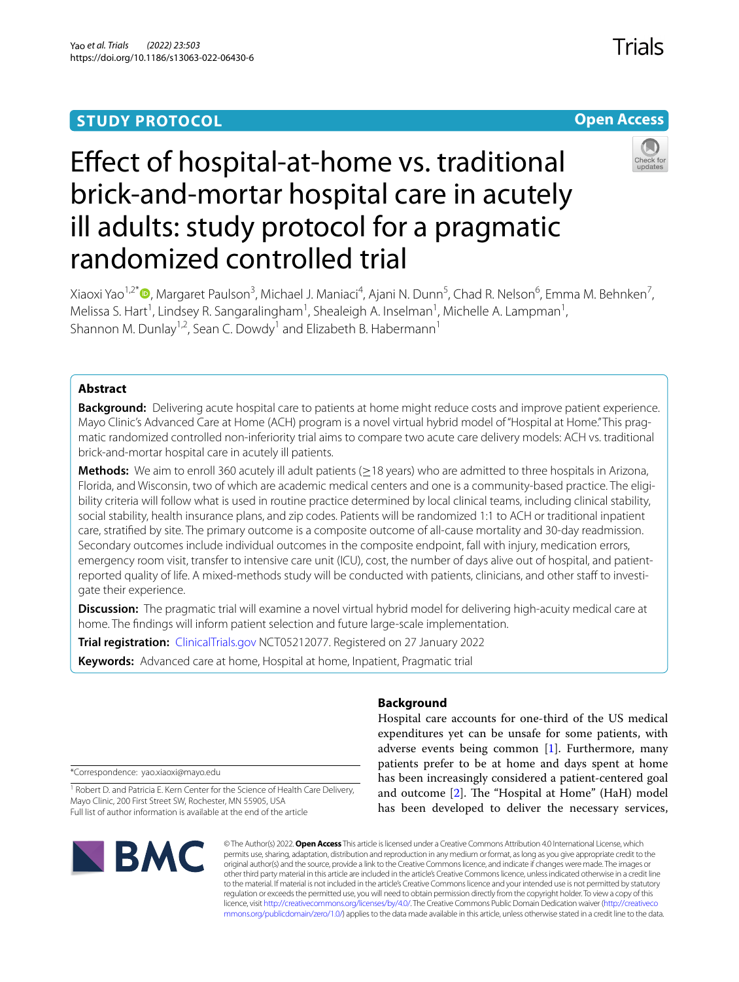# **STUDY PROTOCOL**



# Efect of hospital-at-home vs. traditional brick-and-mortar hospital care in acutely ill adults: study protocol for a pragmatic randomized controlled trial

Xiaoxi Yao<sup>1[,](http://orcid.org/0000-0001-9906-7106)2\*</sup>®, Margaret Paulson<sup>3</sup>, Michael J. Maniaci<sup>4</sup>, Ajani N. Dunn<sup>5</sup>, Chad R. Nelson<sup>6</sup>, Emma M. Behnken<sup>7</sup>, Melissa S. Hart<sup>1</sup>, Lindsey R. Sangaralingham<sup>1</sup>, Shealeigh A. Inselman<sup>1</sup>, Michelle A. Lampman<sup>1</sup>, Shannon M. Dunlay<sup>1,2</sup>, Sean C. Dowdy<sup>1</sup> and Elizabeth B. Habermann<sup>1</sup>

# **Abstract**

**Background:** Delivering acute hospital care to patients at home might reduce costs and improve patient experience. Mayo Clinic's Advanced Care at Home (ACH) program is a novel virtual hybrid model of "Hospital at Home." This pragmatic randomized controlled non-inferiority trial aims to compare two acute care delivery models: ACH vs. traditional brick-and-mortar hospital care in acutely ill patients.

**Methods:** We aim to enroll 360 acutely ill adult patients (≥18 years) who are admitted to three hospitals in Arizona, Florida, and Wisconsin, two of which are academic medical centers and one is a community-based practice. The eligibility criteria will follow what is used in routine practice determined by local clinical teams, including clinical stability, social stability, health insurance plans, and zip codes. Patients will be randomized 1:1 to ACH or traditional inpatient care, stratifed by site. The primary outcome is a composite outcome of all-cause mortality and 30-day readmission. Secondary outcomes include individual outcomes in the composite endpoint, fall with injury, medication errors, emergency room visit, transfer to intensive care unit (ICU), cost, the number of days alive out of hospital, and patientreported quality of life. A mixed-methods study will be conducted with patients, clinicians, and other staf to investigate their experience.

**Discussion:** The pragmatic trial will examine a novel virtual hybrid model for delivering high-acuity medical care at home. The fndings will inform patient selection and future large-scale implementation.

**Trial registration:** [ClinicalTrials.gov](http://clinicaltrials.gov) NCT05212077. Registered on 27 January 2022

**Keywords:** Advanced care at home, Hospital at home, Inpatient, Pragmatic trial

# **Background**

Hospital care accounts for one-third of the US medical expenditures yet can be unsafe for some patients, with adverse events being common [\[1\]](#page-10-0). Furthermore, many patients prefer to be at home and days spent at home has been increasingly considered a patient-centered goal and outcome  $[2]$  $[2]$ . The "Hospital at Home" (HaH) model has been developed to deliver the necessary services,

\*Correspondence: yao.xiaoxi@mayo.edu

<sup>1</sup> Robert D. and Patricia E. Kern Center for the Science of Health Care Delivery, Mayo Clinic, 200 First Street SW, Rochester, MN 55905, USA Full list of author information is available at the end of the article



© The Author(s) 2022. **Open Access** This article is licensed under a Creative Commons Attribution 4.0 International License, which permits use, sharing, adaptation, distribution and reproduction in any medium or format, as long as you give appropriate credit to the original author(s) and the source, provide a link to the Creative Commons licence, and indicate if changes were made. The images or other third party material in this article are included in the article's Creative Commons licence, unless indicated otherwise in a credit line to the material. If material is not included in the article's Creative Commons licence and your intended use is not permitted by statutory regulation or exceeds the permitted use, you will need to obtain permission directly from the copyright holder. To view a copy of this licence, visit [http://creativecommons.org/licenses/by/4.0/.](http://creativecommons.org/licenses/by/4.0/) The Creative Commons Public Domain Dedication waiver ([http://creativeco](http://creativecommons.org/publicdomain/zero/1.0/) [mmons.org/publicdomain/zero/1.0/](http://creativecommons.org/publicdomain/zero/1.0/)) applies to the data made available in this article, unless otherwise stated in a credit line to the data.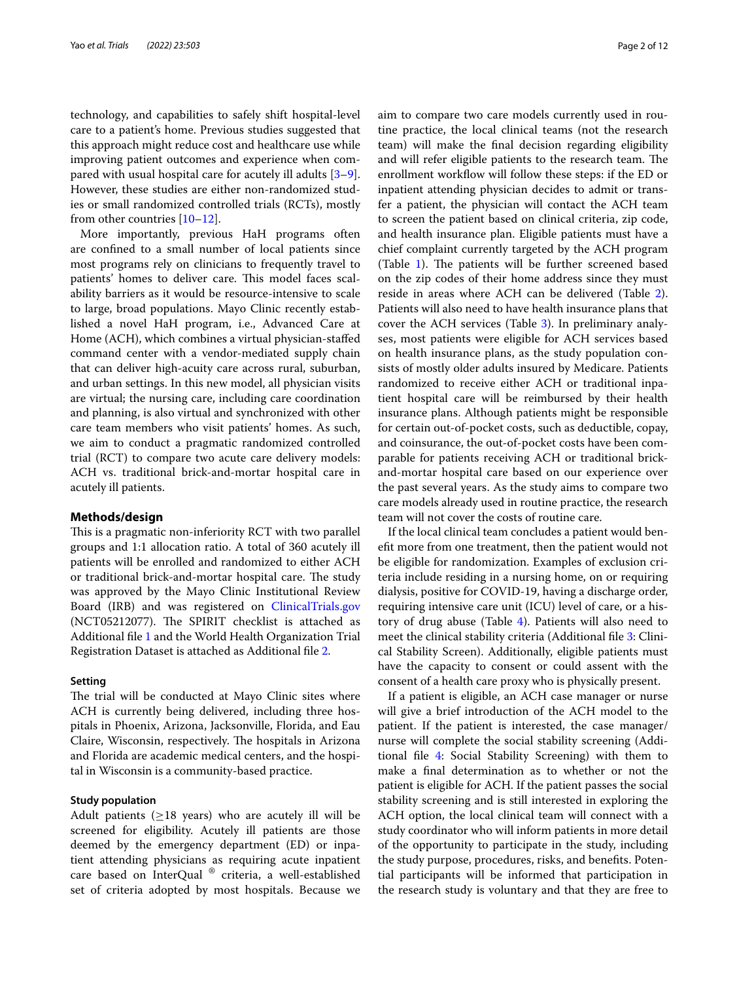technology, and capabilities to safely shift hospital-level care to a patient's home. Previous studies suggested that this approach might reduce cost and healthcare use while improving patient outcomes and experience when compared with usual hospital care for acutely ill adults [\[3](#page-10-2)[–9](#page-10-3)]. However, these studies are either non-randomized studies or small randomized controlled trials (RCTs), mostly from other countries [\[10–](#page-10-4)[12\]](#page-10-5).

More importantly, previous HaH programs often are confned to a small number of local patients since most programs rely on clinicians to frequently travel to patients' homes to deliver care. This model faces scalability barriers as it would be resource-intensive to scale to large, broad populations. Mayo Clinic recently established a novel HaH program, i.e., Advanced Care at Home (ACH), which combines a virtual physician-stafed command center with a vendor-mediated supply chain that can deliver high-acuity care across rural, suburban, and urban settings. In this new model, all physician visits are virtual; the nursing care, including care coordination and planning, is also virtual and synchronized with other care team members who visit patients' homes. As such, we aim to conduct a pragmatic randomized controlled trial (RCT) to compare two acute care delivery models: ACH vs. traditional brick-and-mortar hospital care in acutely ill patients.

#### **Methods/design**

This is a pragmatic non-inferiority RCT with two parallel groups and 1:1 allocation ratio. A total of 360 acutely ill patients will be enrolled and randomized to either ACH or traditional brick-and-mortar hospital care. The study was approved by the Mayo Clinic Institutional Review Board (IRB) and was registered on [ClinicalTrials.gov](http://clinicaltrials.gov) (NCT05212077). The SPIRIT checklist is attached as Additional fle [1](#page-9-0) and the World Health Organization Trial Registration Dataset is attached as Additional fle [2](#page-9-1).

#### **Setting**

The trial will be conducted at Mayo Clinic sites where ACH is currently being delivered, including three hospitals in Phoenix, Arizona, Jacksonville, Florida, and Eau Claire, Wisconsin, respectively. The hospitals in Arizona and Florida are academic medical centers, and the hospital in Wisconsin is a community-based practice.

#### **Study population**

Adult patients ( $\geq$ 18 years) who are acutely ill will be screened for eligibility. Acutely ill patients are those deemed by the emergency department (ED) or inpatient attending physicians as requiring acute inpatient care based on InterQual ® criteria, a well-established set of criteria adopted by most hospitals. Because we aim to compare two care models currently used in routine practice, the local clinical teams (not the research team) will make the fnal decision regarding eligibility and will refer eligible patients to the research team. The enrollment workflow will follow these steps: if the ED or inpatient attending physician decides to admit or transfer a patient, the physician will contact the ACH team to screen the patient based on clinical criteria, zip code, and health insurance plan. Eligible patients must have a chief complaint currently targeted by the ACH program (Table  $1$ ). The patients will be further screened based on the zip codes of their home address since they must reside in areas where ACH can be delivered (Table [2](#page-3-0)). Patients will also need to have health insurance plans that cover the ACH services (Table [3](#page-3-1)). In preliminary analyses, most patients were eligible for ACH services based on health insurance plans, as the study population consists of mostly older adults insured by Medicare. Patients randomized to receive either ACH or traditional inpatient hospital care will be reimbursed by their health insurance plans. Although patients might be responsible for certain out-of-pocket costs, such as deductible, copay, and coinsurance, the out-of-pocket costs have been comparable for patients receiving ACH or traditional brickand-mortar hospital care based on our experience over the past several years. As the study aims to compare two care models already used in routine practice, the research team will not cover the costs of routine care.

If the local clinical team concludes a patient would benefit more from one treatment, then the patient would not be eligible for randomization. Examples of exclusion criteria include residing in a nursing home, on or requiring dialysis, positive for COVID-19, having a discharge order, requiring intensive care unit (ICU) level of care, or a history of drug abuse (Table [4\)](#page-4-0). Patients will also need to meet the clinical stability criteria (Additional file [3](#page-9-2): Clinical Stability Screen). Additionally, eligible patients must have the capacity to consent or could assent with the consent of a health care proxy who is physically present.

If a patient is eligible, an ACH case manager or nurse will give a brief introduction of the ACH model to the patient. If the patient is interested, the case manager/ nurse will complete the social stability screening (Additional fle [4:](#page-9-3) Social Stability Screening) with them to make a fnal determination as to whether or not the patient is eligible for ACH. If the patient passes the social stability screening and is still interested in exploring the ACH option, the local clinical team will connect with a study coordinator who will inform patients in more detail of the opportunity to participate in the study, including the study purpose, procedures, risks, and benefts. Potential participants will be informed that participation in the research study is voluntary and that they are free to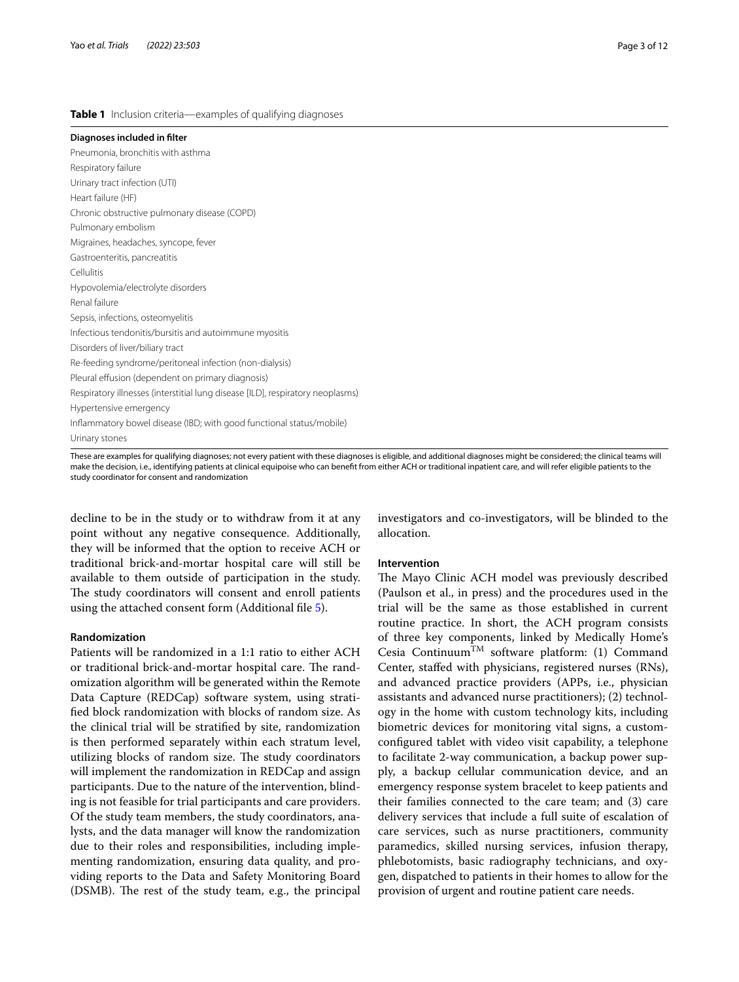#### <span id="page-2-0"></span>**Table 1** Inclusion criteria—examples of qualifying diagnoses

**Diagnoses included in flter** Pneumonia, bronchitis with asthma Respiratory failure Urinary tract infection (UTI) Heart failure (HF) Chronic obstructive pulmonary disease (COPD) Pulmonary embolism Migraines, headaches, syncope, fever Gastroenteritis, pancreatitis **Cellulitis** Hypovolemia/electrolyte disorders Renal failure Sepsis, infections, osteomyelitis Infectious tendonitis/bursitis and autoimmune myositis Disorders of liver/biliary tract Re-feeding syndrome/peritoneal infection (non-dialysis) Pleural effusion (dependent on primary diagnosis) Respiratory illnesses (interstitial lung disease [ILD], respiratory neoplasms) Hypertensive emergency Infammatory bowel disease (IBD; with good functional status/mobile) Urinary stones

These are examples for qualifying diagnoses; not every patient with these diagnoses is eligible, and additional diagnoses might be considered; the clinical teams will make the decision, i.e., identifying patients at clinical equipoise who can beneft from either ACH or traditional inpatient care, and will refer eligible patients to the study coordinator for consent and randomization

decline to be in the study or to withdraw from it at any point without any negative consequence. Additionally, they will be informed that the option to receive ACH or traditional brick-and-mortar hospital care will still be available to them outside of participation in the study. The study coordinators will consent and enroll patients using the attached consent form (Additional fle [5\)](#page-9-4).

#### **Randomization**

Patients will be randomized in a 1:1 ratio to either ACH or traditional brick-and-mortar hospital care. The randomization algorithm will be generated within the Remote Data Capture (REDCap) software system, using stratifed block randomization with blocks of random size. As the clinical trial will be stratifed by site, randomization is then performed separately within each stratum level, utilizing blocks of random size. The study coordinators will implement the randomization in REDCap and assign participants. Due to the nature of the intervention, blinding is not feasible for trial participants and care providers. Of the study team members, the study coordinators, analysts, and the data manager will know the randomization due to their roles and responsibilities, including implementing randomization, ensuring data quality, and providing reports to the Data and Safety Monitoring Board (DSMB). The rest of the study team, e.g., the principal investigators and co-investigators, will be blinded to the allocation.

#### **Intervention**

The Mayo Clinic ACH model was previously described (Paulson et al., in press) and the procedures used in the trial will be the same as those established in current routine practice. In short, the ACH program consists of three key components, linked by Medically Home's Cesia Continuum<sup>TM</sup> software platform: (1) Command Center, stafed with physicians, registered nurses (RNs), and advanced practice providers (APPs, i.e., physician assistants and advanced nurse practitioners); (2) technology in the home with custom technology kits, including biometric devices for monitoring vital signs, a customconfgured tablet with video visit capability, a telephone to facilitate 2-way communication, a backup power supply, a backup cellular communication device, and an emergency response system bracelet to keep patients and their families connected to the care team; and (3) care delivery services that include a full suite of escalation of care services, such as nurse practitioners, community paramedics, skilled nursing services, infusion therapy, phlebotomists, basic radiography technicians, and oxygen, dispatched to patients in their homes to allow for the provision of urgent and routine patient care needs.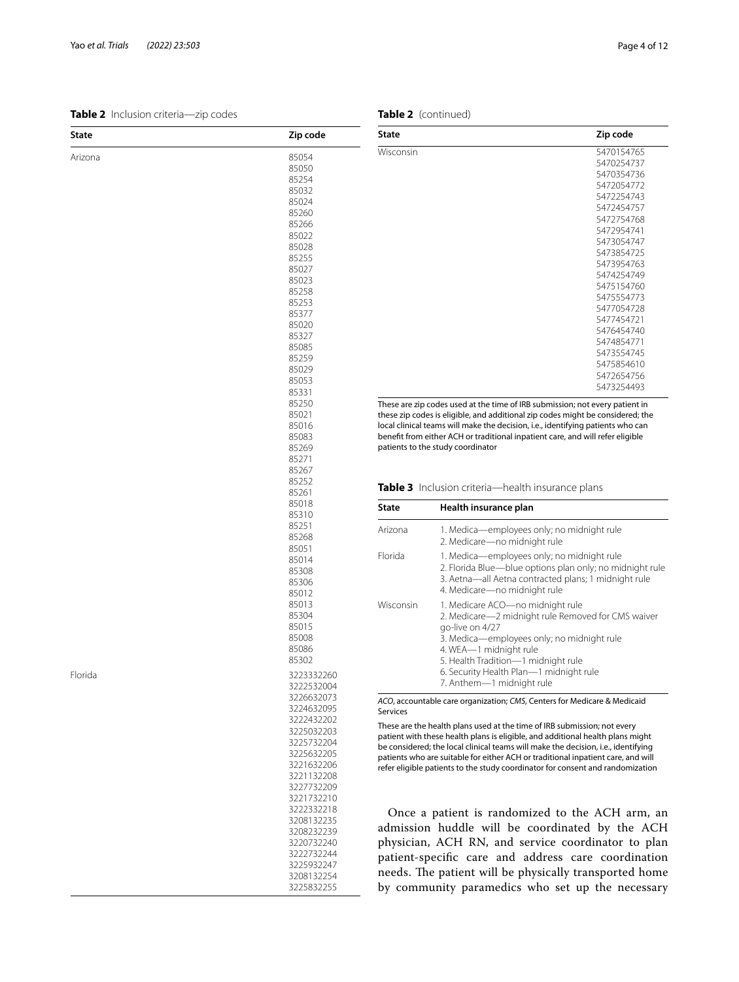<span id="page-3-0"></span>**Table 2** Inclusion criteria—zip codes

| State   | Zip code   |
|---------|------------|
| Arizona | 85054      |
|         | 85050      |
|         | 85254      |
|         | 85032      |
|         | 85024      |
|         | 85260      |
|         | 85266      |
|         |            |
|         | 85022      |
|         | 85028      |
|         | 85255      |
|         | 85027      |
|         | 85023      |
|         | 85258      |
|         | 85253      |
|         | 85377      |
|         | 85020      |
|         | 85327      |
|         | 85085      |
|         | 85259      |
|         | 85029      |
|         | 85053      |
|         | 85331      |
|         | 85250      |
|         | 85021      |
|         | 85016      |
|         | 85083      |
|         | 85269      |
|         | 85271      |
|         | 85267      |
|         | 85252      |
|         | 85261      |
|         |            |
|         | 85018      |
|         | 85310      |
|         | 85251      |
|         | 85268      |
|         | 85051      |
|         | 85014      |
|         | 85308      |
|         | 85306      |
|         | 85012      |
|         | 85013      |
|         | 85304      |
|         | 85015      |
|         | 85008      |
|         | 85086      |
|         | 85302      |
| Florida | 3223332260 |
|         | 3222532004 |
|         | 3226632073 |
|         | 3224632095 |
|         | 3222432202 |
|         |            |
|         | 3225032203 |
|         | 3225732204 |
|         | 3225632205 |
|         | 3221632206 |
|         | 3221132208 |
|         | 3227732209 |
|         | 3221732210 |
|         | 3222332218 |
|         | 3208132235 |
|         | 3208232239 |
|         | 3220732240 |
|         | 3222732244 |
|         | 3225932247 |
|         | 3208132254 |
|         | 3225832255 |

| <b>State</b> | Zip code    |
|--------------|-------------|
| Wisconsin    | 5470154765  |
|              | 5470254737  |
|              | 5470354736  |
|              | 5472054772  |
|              | 5472254743  |
|              | 5472454757  |
|              | 5472754768  |
|              | 5472954741  |
|              | 5473054747  |
|              | 5473854725  |
|              | 5473954763  |
|              | 5474254749  |
|              | 5475154760  |
|              | 5475554773  |
|              | 5477054728  |
|              | 5477454721  |
|              | 5476454740  |
|              | 5474854771  |
|              | 5473554745  |
|              | 5475854610  |
|              | 5472654756  |
|              | 5473254493  |
|              | $\sim$ $ -$ |

These are zip codes used at the time of IRB submission; not every patient in these zip codes is eligible, and additional zip codes might be considered; the local clinical teams will make the decision, i.e., identifying patients who can beneft from either ACH or traditional inpatient care, and will refer eligible patients to the study coordinator

<span id="page-3-1"></span>**Table 3** Inclusion criteria—health insurance plans

| State     | Health insurance plan                                                                                                                                                                                                                                                                            |
|-----------|--------------------------------------------------------------------------------------------------------------------------------------------------------------------------------------------------------------------------------------------------------------------------------------------------|
| Arizona   | 1. Medica—employees only; no midnight rule<br>2. Medicare-no midnight rule                                                                                                                                                                                                                       |
| Florida   | 1. Medica—employees only; no midnight rule<br>2. Florida Blue-blue options plan only; no midnight rule<br>3. Aetna—all Aetna contracted plans; 1 midnight rule<br>4. Medicare-no midnight rule                                                                                                   |
| Wisconsin | 1. Medicare ACO—no midnight rule<br>2. Medicare-2 midnight rule Removed for CMS waiver<br>go-live on 4/27<br>3. Medica—employees only; no midnight rule<br>4. WEA-1 midnight rule<br>5. Health Tradition-1 midnight rule<br>6. Security Health Plan-1 midnight rule<br>7. Anthem-1 midnight rule |

*ACO*, accountable care organization; *CMS*, Centers for Medicare & Medicaid Services

These are the health plans used at the time of IRB submission; not every patient with these health plans is eligible, and additional health plans might be considered; the local clinical teams will make the decision, i.e., identifying patients who are suitable for either ACH or traditional inpatient care, and will refer eligible patients to the study coordinator for consent and randomization

Once a patient is randomized to the ACH arm, an admission huddle will be coordinated by the ACH physician, ACH RN, and service coordinator to plan patient-specifc care and address care coordination needs. The patient will be physically transported home by community paramedics who set up the necessary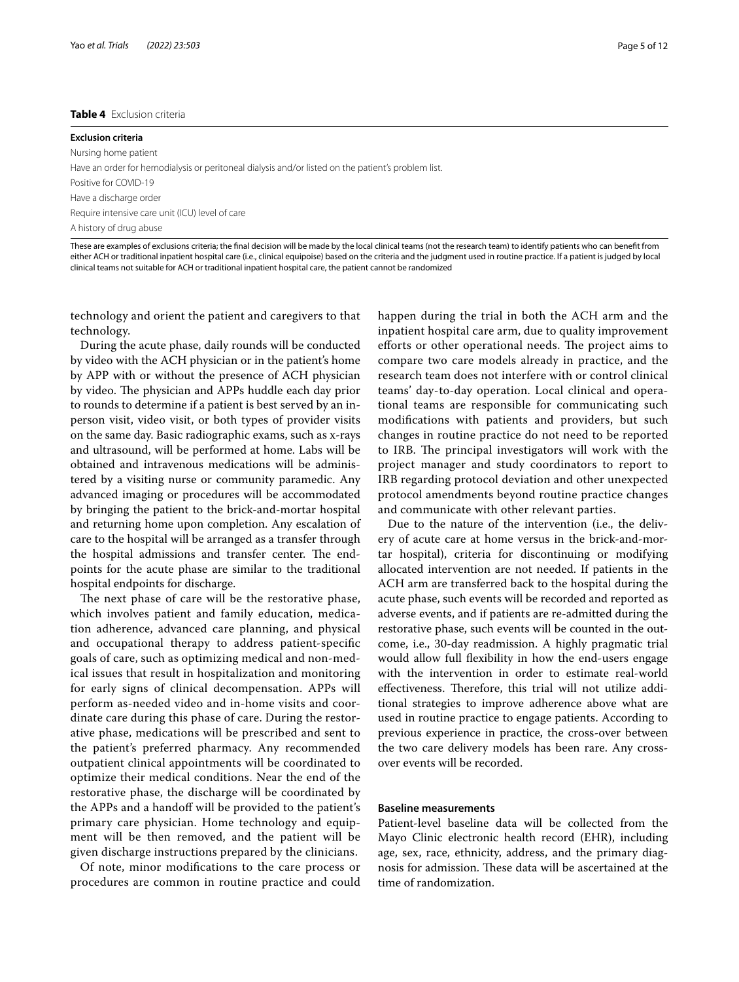#### <span id="page-4-0"></span>**Table 4** Exclusion criteria

# **Exclusion criteria** Nursing home patient Have an order for hemodialysis or peritoneal dialysis and/or listed on the patient's problem list. Positive for COVID-19 Have a discharge order Require intensive care unit (ICU) level of care A history of drug abuse

These are examples of exclusions criteria; the fnal decision will be made by the local clinical teams (not the research team) to identify patients who can beneft from either ACH or traditional inpatient hospital care (i.e., clinical equipoise) based on the criteria and the judgment used in routine practice. If a patient is judged by local clinical teams not suitable for ACH or traditional inpatient hospital care, the patient cannot be randomized

technology and orient the patient and caregivers to that technology.

During the acute phase, daily rounds will be conducted by video with the ACH physician or in the patient's home by APP with or without the presence of ACH physician by video. The physician and APPs huddle each day prior to rounds to determine if a patient is best served by an inperson visit, video visit, or both types of provider visits on the same day. Basic radiographic exams, such as x-rays and ultrasound, will be performed at home. Labs will be obtained and intravenous medications will be administered by a visiting nurse or community paramedic. Any advanced imaging or procedures will be accommodated by bringing the patient to the brick-and-mortar hospital and returning home upon completion. Any escalation of care to the hospital will be arranged as a transfer through the hospital admissions and transfer center. The endpoints for the acute phase are similar to the traditional hospital endpoints for discharge.

The next phase of care will be the restorative phase, which involves patient and family education, medication adherence, advanced care planning, and physical and occupational therapy to address patient-specifc goals of care, such as optimizing medical and non-medical issues that result in hospitalization and monitoring for early signs of clinical decompensation. APPs will perform as-needed video and in-home visits and coordinate care during this phase of care. During the restorative phase, medications will be prescribed and sent to the patient's preferred pharmacy. Any recommended outpatient clinical appointments will be coordinated to optimize their medical conditions. Near the end of the restorative phase, the discharge will be coordinated by the APPs and a handof will be provided to the patient's primary care physician. Home technology and equipment will be then removed, and the patient will be given discharge instructions prepared by the clinicians.

Of note, minor modifcations to the care process or procedures are common in routine practice and could happen during the trial in both the ACH arm and the inpatient hospital care arm, due to quality improvement efforts or other operational needs. The project aims to compare two care models already in practice, and the research team does not interfere with or control clinical teams' day-to-day operation. Local clinical and operational teams are responsible for communicating such modifcations with patients and providers, but such changes in routine practice do not need to be reported to IRB. The principal investigators will work with the project manager and study coordinators to report to IRB regarding protocol deviation and other unexpected protocol amendments beyond routine practice changes and communicate with other relevant parties.

Due to the nature of the intervention (i.e., the delivery of acute care at home versus in the brick-and-mortar hospital), criteria for discontinuing or modifying allocated intervention are not needed. If patients in the ACH arm are transferred back to the hospital during the acute phase, such events will be recorded and reported as adverse events, and if patients are re-admitted during the restorative phase, such events will be counted in the outcome, i.e., 30-day readmission. A highly pragmatic trial would allow full fexibility in how the end-users engage with the intervention in order to estimate real-world effectiveness. Therefore, this trial will not utilize additional strategies to improve adherence above what are used in routine practice to engage patients. According to previous experience in practice, the cross-over between the two care delivery models has been rare. Any crossover events will be recorded.

#### **Baseline measurements**

Patient-level baseline data will be collected from the Mayo Clinic electronic health record (EHR), including age, sex, race, ethnicity, address, and the primary diagnosis for admission. These data will be ascertained at the time of randomization.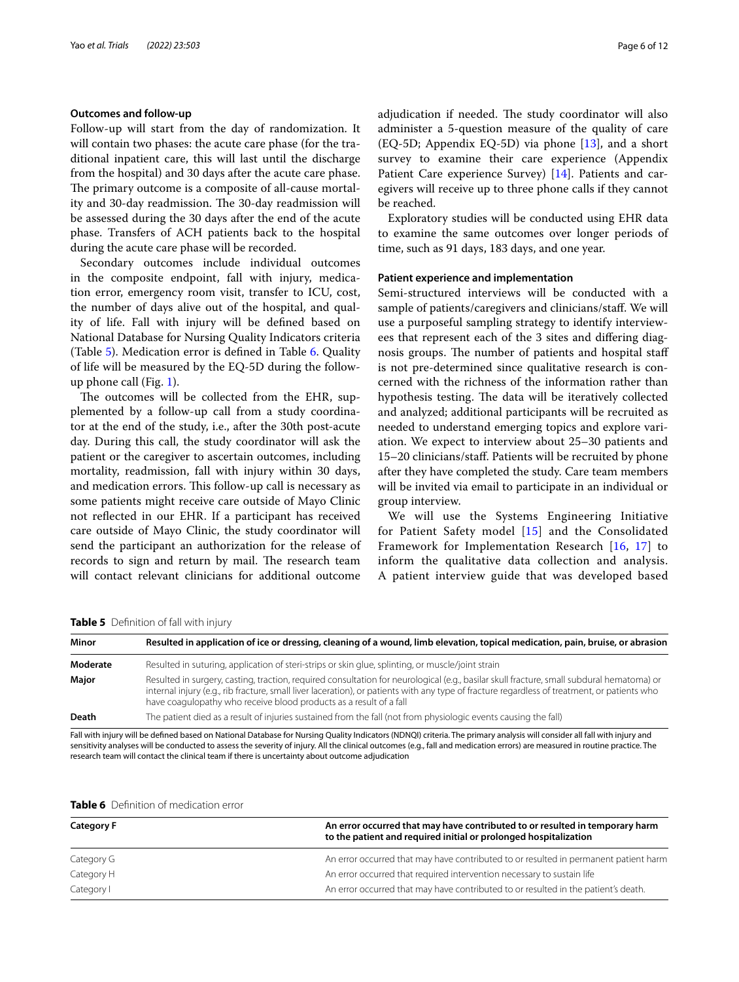#### **Outcomes and follow‑up**

Follow-up will start from the day of randomization. It will contain two phases: the acute care phase (for the traditional inpatient care, this will last until the discharge from the hospital) and 30 days after the acute care phase. The primary outcome is a composite of all-cause mortality and 30-day readmission. The 30-day readmission will be assessed during the 30 days after the end of the acute phase. Transfers of ACH patients back to the hospital during the acute care phase will be recorded.

Secondary outcomes include individual outcomes in the composite endpoint, fall with injury, medication error, emergency room visit, transfer to ICU, cost, the number of days alive out of the hospital, and quality of life. Fall with injury will be defned based on National Database for Nursing Quality Indicators criteria (Table [5\)](#page-5-0). Medication error is defned in Table [6.](#page-5-1) Quality of life will be measured by the EQ-5D during the followup phone call (Fig. [1](#page-6-0)).

The outcomes will be collected from the EHR, supplemented by a follow-up call from a study coordinator at the end of the study, i.e., after the 30th post-acute day. During this call, the study coordinator will ask the patient or the caregiver to ascertain outcomes, including mortality, readmission, fall with injury within 30 days, and medication errors. This follow-up call is necessary as some patients might receive care outside of Mayo Clinic not refected in our EHR. If a participant has received care outside of Mayo Clinic, the study coordinator will send the participant an authorization for the release of records to sign and return by mail. The research team will contact relevant clinicians for additional outcome adjudication if needed. The study coordinator will also administer a 5-question measure of the quality of care  $(EQ-5D;$  Appendix  $EQ-5D$ ) via phone  $[13]$  $[13]$ , and a short survey to examine their care experience (Appendix Patient Care experience Survey) [\[14](#page-10-7)]. Patients and caregivers will receive up to three phone calls if they cannot be reached.

Exploratory studies will be conducted using EHR data to examine the same outcomes over longer periods of time, such as 91 days, 183 days, and one year.

#### **Patient experience and implementation**

Semi-structured interviews will be conducted with a sample of patients/caregivers and clinicians/staff. We will use a purposeful sampling strategy to identify interviewees that represent each of the 3 sites and difering diagnosis groups. The number of patients and hospital staff is not pre-determined since qualitative research is concerned with the richness of the information rather than hypothesis testing. The data will be iteratively collected and analyzed; additional participants will be recruited as needed to understand emerging topics and explore variation. We expect to interview about 25–30 patients and 15–20 clinicians/staf. Patients will be recruited by phone after they have completed the study. Care team members will be invited via email to participate in an individual or group interview.

We will use the Systems Engineering Initiative for Patient Safety model [[15\]](#page-10-8) and the Consolidated Framework for Implementation Research [[16,](#page-10-9) [17](#page-10-10)] to inform the qualitative data collection and analysis. A patient interview guide that was developed based

<span id="page-5-0"></span>**Table 5** Defnition of fall with injury

| Resulted in application of ice or dressing, cleaning of a wound, limb elevation, topical medication, pain, bruise, or abrasion                                                                                                                                                                                                                                  |  |  |  |
|-----------------------------------------------------------------------------------------------------------------------------------------------------------------------------------------------------------------------------------------------------------------------------------------------------------------------------------------------------------------|--|--|--|
| Resulted in suturing, application of steri-strips or skin glue, splinting, or muscle/joint strain                                                                                                                                                                                                                                                               |  |  |  |
| Resulted in surgery, casting, traction, required consultation for neurological (e.g., basilar skull fracture, small subdural hematoma) or<br>internal injury (e.g., rib fracture, small liver laceration), or patients with any type of fracture regardless of treatment, or patients who<br>have coagulopathy who receive blood products as a result of a fall |  |  |  |
| The patient died as a result of injuries sustained from the fall (not from physiologic events causing the fall)                                                                                                                                                                                                                                                 |  |  |  |
|                                                                                                                                                                                                                                                                                                                                                                 |  |  |  |

Fall with injury will be defined based on National Database for Nursing Quality Indicators (NDNQI) criteria. The primary analysis will consider all fall with injury and sensitivity analyses will be conducted to assess the severity of injury. All the clinical outcomes (e.g., fall and medication errors) are measured in routine practice. The research team will contact the clinical team if there is uncertainty about outcome adjudication

<span id="page-5-1"></span>

|  | Table 6 Definition of medication error |  |
|--|----------------------------------------|--|
|  |                                        |  |

| <b>Category F</b> | An error occurred that may have contributed to or resulted in temporary harm<br>to the patient and required initial or prolonged hospitalization |
|-------------------|--------------------------------------------------------------------------------------------------------------------------------------------------|
| Category G        | An error occurred that may have contributed to or resulted in permanent patient harm                                                             |
| Category H        | An error occurred that required intervention necessary to sustain life                                                                           |
| Category I        | An error occurred that may have contributed to or resulted in the patient's death.                                                               |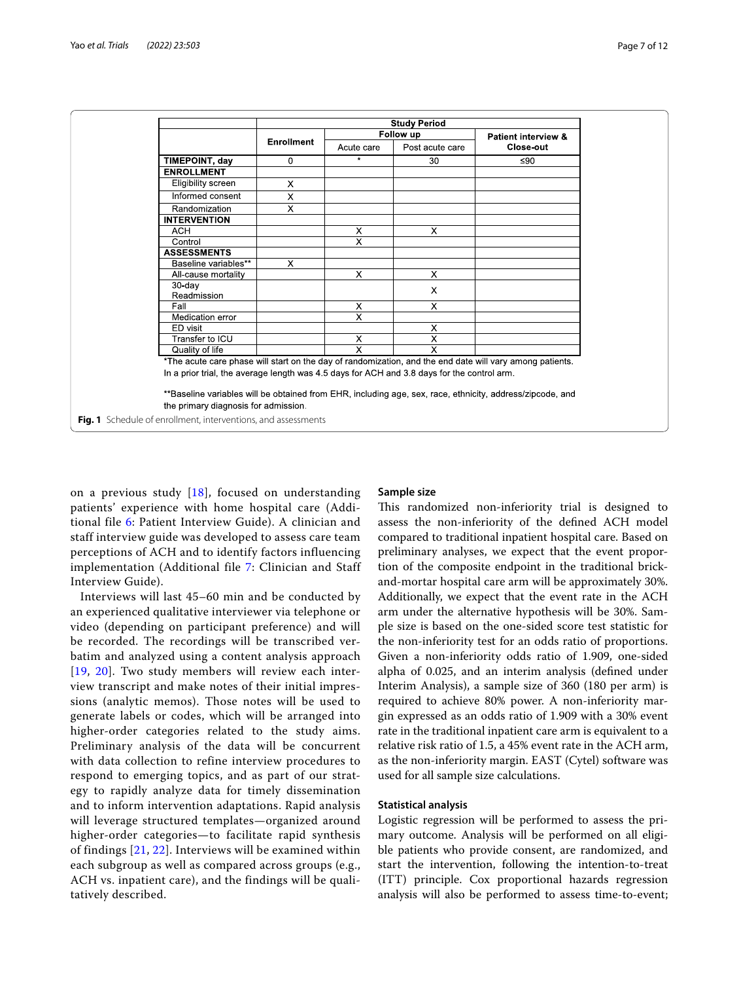|                                                                                                           |                   |            | <b>Study Period</b>       |                     |  |
|-----------------------------------------------------------------------------------------------------------|-------------------|------------|---------------------------|---------------------|--|
|                                                                                                           | <b>Enrollment</b> | Follow up  |                           | Patient interview & |  |
|                                                                                                           |                   | Acute care | Post acute care           | Close-out           |  |
| TIMEPOINT, day                                                                                            | $\mathbf 0$       | $\star$    | 30                        | ≤ $90$              |  |
| <b>ENROLLMENT</b>                                                                                         |                   |            |                           |                     |  |
| Eligibility screen                                                                                        | X                 |            |                           |                     |  |
| Informed consent                                                                                          | X                 |            |                           |                     |  |
| Randomization                                                                                             | X                 |            |                           |                     |  |
| <b>INTERVENTION</b>                                                                                       |                   |            |                           |                     |  |
| <b>ACH</b>                                                                                                |                   | X          | X                         |                     |  |
| Control                                                                                                   |                   | X          |                           |                     |  |
| <b>ASSESSMENTS</b>                                                                                        |                   |            |                           |                     |  |
| Baseline variables**                                                                                      | X.                |            |                           |                     |  |
| All-cause mortality                                                                                       |                   | X          | $\times$                  |                     |  |
| $30$ -day                                                                                                 |                   |            | X                         |                     |  |
| Readmission                                                                                               |                   |            |                           |                     |  |
| Fall                                                                                                      |                   | X          | $\times$                  |                     |  |
| Medication error                                                                                          |                   | X          |                           |                     |  |
| ED visit                                                                                                  |                   |            | X                         |                     |  |
| Transfer to ICU                                                                                           |                   | X          | $\boldsymbol{\mathsf{x}}$ |                     |  |
| Quality of life                                                                                           |                   | X          | X                         |                     |  |
| *The acute care phase will start on the day of randomization, and the end date will vary among patients.  |                   |            |                           |                     |  |
| In a prior trial, the average length was 4.5 days for ACH and 3.8 days for the control arm.               |                   |            |                           |                     |  |
| **Baseline variables will be obtained from EHR, including age, sex, race, ethnicity, address/zipcode, and |                   |            |                           |                     |  |
| the primary diagnosis for admission                                                                       |                   |            |                           |                     |  |

<span id="page-6-0"></span>**Fig. 1** Schedule of enrollment, interventions, and assessments

on a previous study  $[18]$ , focused on understanding patients' experience with home hospital care (Additional file [6](#page-9-5): Patient Interview Guide). A clinician and staff interview guide was developed to assess care team perceptions of ACH and to identify factors influencing implementation (Additional file [7](#page-9-6): Clinician and Staff Interview Guide).

Interviews will last 45–60 min and be conducted by an experienced qualitative interviewer via telephone or video (depending on participant preference) and will be recorded. The recordings will be transcribed verbatim and analyzed using a content analysis approach [[19](#page-10-12), [20](#page-10-13)]. Two study members will review each interview transcript and make notes of their initial impressions (analytic memos). Those notes will be used to generate labels or codes, which will be arranged into higher-order categories related to the study aims. Preliminary analysis of the data will be concurrent with data collection to refine interview procedures to respond to emerging topics, and as part of our strategy to rapidly analyze data for timely dissemination and to inform intervention adaptations. Rapid analysis will leverage structured templates—organized around higher-order categories—to facilitate rapid synthesis of findings [[21](#page-10-14), [22](#page-10-15)]. Interviews will be examined within each subgroup as well as compared across groups (e.g., ACH vs. inpatient care), and the findings will be qualitatively described.

### **Sample size**

This randomized non-inferiority trial is designed to assess the non-inferiority of the defned ACH model compared to traditional inpatient hospital care. Based on preliminary analyses, we expect that the event proportion of the composite endpoint in the traditional brickand-mortar hospital care arm will be approximately 30%. Additionally, we expect that the event rate in the ACH arm under the alternative hypothesis will be 30%. Sample size is based on the one-sided score test statistic for the non-inferiority test for an odds ratio of proportions. Given a non-inferiority odds ratio of 1.909, one-sided alpha of 0.025, and an interim analysis (defned under Interim Analysis), a sample size of 360 (180 per arm) is required to achieve 80% power. A non-inferiority margin expressed as an odds ratio of 1.909 with a 30% event rate in the traditional inpatient care arm is equivalent to a relative risk ratio of 1.5, a 45% event rate in the ACH arm, as the non-inferiority margin. EAST (Cytel) software was used for all sample size calculations.

#### **Statistical analysis**

Logistic regression will be performed to assess the primary outcome. Analysis will be performed on all eligible patients who provide consent, are randomized, and start the intervention, following the intention-to-treat (ITT) principle. Cox proportional hazards regression analysis will also be performed to assess time-to-event;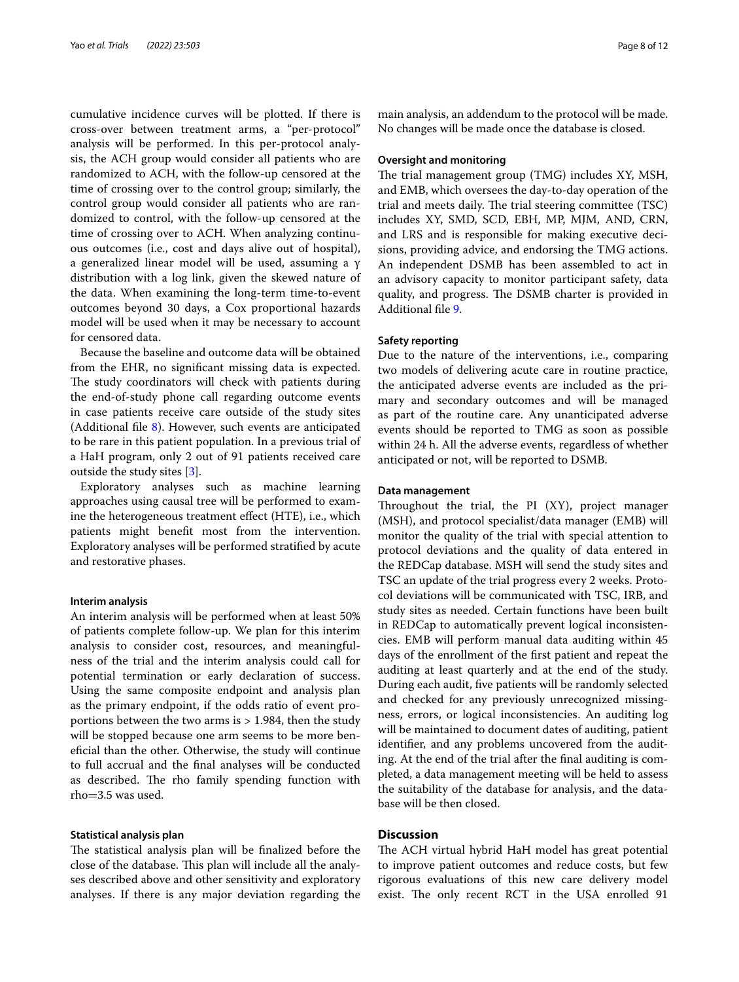cumulative incidence curves will be plotted. If there is cross-over between treatment arms, a "per-protocol" analysis will be performed. In this per-protocol analysis, the ACH group would consider all patients who are randomized to ACH, with the follow-up censored at the time of crossing over to the control group; similarly, the control group would consider all patients who are randomized to control, with the follow-up censored at the time of crossing over to ACH. When analyzing continuous outcomes (i.e., cost and days alive out of hospital), a generalized linear model will be used, assuming a γ distribution with a log link, given the skewed nature of the data. When examining the long-term time-to-event outcomes beyond 30 days, a Cox proportional hazards model will be used when it may be necessary to account for censored data.

Because the baseline and outcome data will be obtained from the EHR, no signifcant missing data is expected. The study coordinators will check with patients during the end-of-study phone call regarding outcome events in case patients receive care outside of the study sites (Additional fle [8](#page-9-7)). However, such events are anticipated to be rare in this patient population. In a previous trial of a HaH program, only 2 out of 91 patients received care outside the study sites [\[3](#page-10-2)].

Exploratory analyses such as machine learning approaches using causal tree will be performed to examine the heterogeneous treatment efect (HTE), i.e., which patients might beneft most from the intervention. Exploratory analyses will be performed stratifed by acute and restorative phases.

#### **Interim analysis**

An interim analysis will be performed when at least 50% of patients complete follow-up. We plan for this interim analysis to consider cost, resources, and meaningfulness of the trial and the interim analysis could call for potential termination or early declaration of success. Using the same composite endpoint and analysis plan as the primary endpoint, if the odds ratio of event proportions between the two arms is > 1.984, then the study will be stopped because one arm seems to be more benefcial than the other. Otherwise, the study will continue to full accrual and the fnal analyses will be conducted as described. The rho family spending function with rho=3.5 was used.

#### **Statistical analysis plan**

The statistical analysis plan will be finalized before the close of the database. This plan will include all the analyses described above and other sensitivity and exploratory analyses. If there is any major deviation regarding the main analysis, an addendum to the protocol will be made. No changes will be made once the database is closed.

#### **Oversight and monitoring**

The trial management group (TMG) includes XY, MSH, and EMB, which oversees the day-to-day operation of the trial and meets daily. The trial steering committee (TSC) includes XY, SMD, SCD, EBH, MP, MJM, AND, CRN, and LRS and is responsible for making executive decisions, providing advice, and endorsing the TMG actions. An independent DSMB has been assembled to act in an advisory capacity to monitor participant safety, data quality, and progress. The DSMB charter is provided in Additional fle [9](#page-9-8).

#### **Safety reporting**

Due to the nature of the interventions, i.e., comparing two models of delivering acute care in routine practice, the anticipated adverse events are included as the primary and secondary outcomes and will be managed as part of the routine care. Any unanticipated adverse events should be reported to TMG as soon as possible within 24 h. All the adverse events, regardless of whether anticipated or not, will be reported to DSMB.

#### **Data management**

Throughout the trial, the PI  $(XY)$ , project manager (MSH), and protocol specialist/data manager (EMB) will monitor the quality of the trial with special attention to protocol deviations and the quality of data entered in the REDCap database. MSH will send the study sites and TSC an update of the trial progress every 2 weeks. Protocol deviations will be communicated with TSC, IRB, and study sites as needed. Certain functions have been built in REDCap to automatically prevent logical inconsistencies. EMB will perform manual data auditing within 45 days of the enrollment of the frst patient and repeat the auditing at least quarterly and at the end of the study. During each audit, fve patients will be randomly selected and checked for any previously unrecognized missingness, errors, or logical inconsistencies. An auditing log will be maintained to document dates of auditing, patient identifer, and any problems uncovered from the auditing. At the end of the trial after the fnal auditing is completed, a data management meeting will be held to assess the suitability of the database for analysis, and the database will be then closed.

## **Discussion**

The ACH virtual hybrid HaH model has great potential to improve patient outcomes and reduce costs, but few rigorous evaluations of this new care delivery model exist. The only recent RCT in the USA enrolled 91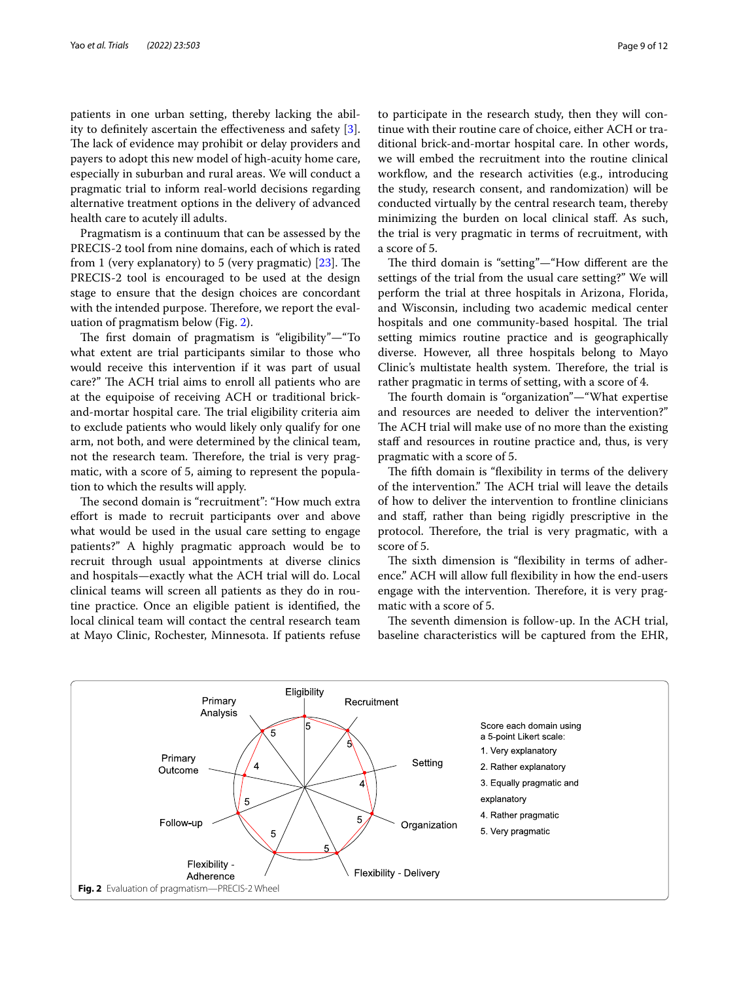patients in one urban setting, thereby lacking the ability to defnitely ascertain the efectiveness and safety [\[3](#page-10-2)]. The lack of evidence may prohibit or delay providers and payers to adopt this new model of high-acuity home care, especially in suburban and rural areas. We will conduct a pragmatic trial to inform real-world decisions regarding alternative treatment options in the delivery of advanced health care to acutely ill adults.

Pragmatism is a continuum that can be assessed by the PRECIS-2 tool from nine domains, each of which is rated from 1 (very explanatory) to 5 (very pragmatic)  $[23]$ . The PRECIS-2 tool is encouraged to be used at the design stage to ensure that the design choices are concordant with the intended purpose. Therefore, we report the evaluation of pragmatism below (Fig. [2\)](#page-8-0).

The first domain of pragmatism is "eligibility"-"To what extent are trial participants similar to those who would receive this intervention if it was part of usual care?" The ACH trial aims to enroll all patients who are at the equipoise of receiving ACH or traditional brickand-mortar hospital care. The trial eligibility criteria aim to exclude patients who would likely only qualify for one arm, not both, and were determined by the clinical team, not the research team. Therefore, the trial is very pragmatic, with a score of 5, aiming to represent the population to which the results will apply.

The second domain is "recruitment": "How much extra efort is made to recruit participants over and above what would be used in the usual care setting to engage patients?" A highly pragmatic approach would be to recruit through usual appointments at diverse clinics and hospitals—exactly what the ACH trial will do. Local clinical teams will screen all patients as they do in routine practice. Once an eligible patient is identifed, the local clinical team will contact the central research team at Mayo Clinic, Rochester, Minnesota. If patients refuse to participate in the research study, then they will continue with their routine care of choice, either ACH or traditional brick-and-mortar hospital care. In other words, we will embed the recruitment into the routine clinical workflow, and the research activities (e.g., introducing the study, research consent, and randomization) will be conducted virtually by the central research team, thereby minimizing the burden on local clinical staf. As such, the trial is very pragmatic in terms of recruitment, with a score of 5.

The third domain is "setting"—"How different are the settings of the trial from the usual care setting?" We will perform the trial at three hospitals in Arizona, Florida, and Wisconsin, including two academic medical center hospitals and one community-based hospital. The trial setting mimics routine practice and is geographically diverse. However, all three hospitals belong to Mayo Clinic's multistate health system. Therefore, the trial is rather pragmatic in terms of setting, with a score of 4.

The fourth domain is "organization"—"What expertise and resources are needed to deliver the intervention?" The ACH trial will make use of no more than the existing staff and resources in routine practice and, thus, is very pragmatic with a score of 5.

The fifth domain is "flexibility in terms of the delivery of the intervention." The ACH trial will leave the details of how to deliver the intervention to frontline clinicians and staf, rather than being rigidly prescriptive in the protocol. Therefore, the trial is very pragmatic, with a score of 5.

The sixth dimension is "flexibility in terms of adherence." ACH will allow full fexibility in how the end-users engage with the intervention. Therefore, it is very pragmatic with a score of 5.

The seventh dimension is follow-up. In the ACH trial, baseline characteristics will be captured from the EHR,

<span id="page-8-0"></span>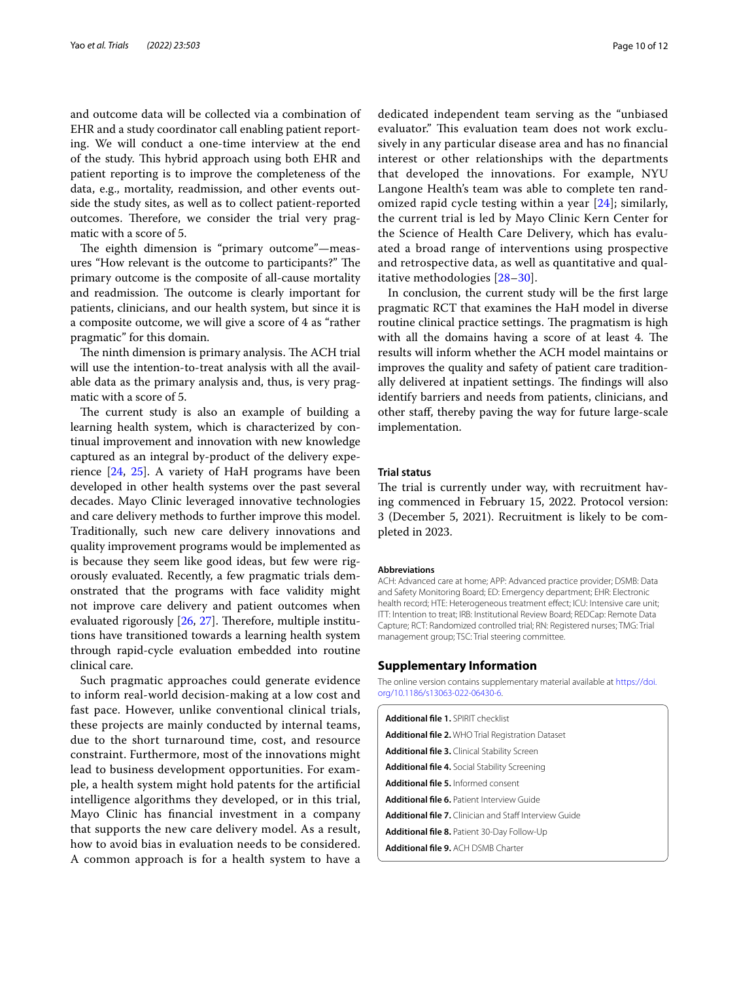and outcome data will be collected via a combination of EHR and a study coordinator call enabling patient reporting. We will conduct a one-time interview at the end of the study. This hybrid approach using both EHR and patient reporting is to improve the completeness of the data, e.g., mortality, readmission, and other events outside the study sites, as well as to collect patient-reported outcomes. Therefore, we consider the trial very pragmatic with a score of 5.

The eighth dimension is "primary outcome"-measures "How relevant is the outcome to participants?" The primary outcome is the composite of all-cause mortality and readmission. The outcome is clearly important for patients, clinicians, and our health system, but since it is a composite outcome, we will give a score of 4 as "rather pragmatic" for this domain.

The ninth dimension is primary analysis. The ACH trial will use the intention-to-treat analysis with all the available data as the primary analysis and, thus, is very pragmatic with a score of 5.

The current study is also an example of building a learning health system, which is characterized by continual improvement and innovation with new knowledge captured as an integral by-product of the delivery experience [\[24](#page-10-17), [25](#page-10-18)]. A variety of HaH programs have been developed in other health systems over the past several decades. Mayo Clinic leveraged innovative technologies and care delivery methods to further improve this model. Traditionally, such new care delivery innovations and quality improvement programs would be implemented as is because they seem like good ideas, but few were rigorously evaluated. Recently, a few pragmatic trials demonstrated that the programs with face validity might not improve care delivery and patient outcomes when evaluated rigorously  $[26, 27]$  $[26, 27]$  $[26, 27]$  $[26, 27]$ . Therefore, multiple institutions have transitioned towards a learning health system through rapid-cycle evaluation embedded into routine clinical care.

Such pragmatic approaches could generate evidence to inform real-world decision-making at a low cost and fast pace. However, unlike conventional clinical trials, these projects are mainly conducted by internal teams, due to the short turnaround time, cost, and resource constraint. Furthermore, most of the innovations might lead to business development opportunities. For example, a health system might hold patents for the artifcial intelligence algorithms they developed, or in this trial, Mayo Clinic has fnancial investment in a company that supports the new care delivery model. As a result, how to avoid bias in evaluation needs to be considered. A common approach is for a health system to have a dedicated independent team serving as the "unbiased evaluator." This evaluation team does not work exclusively in any particular disease area and has no fnancial interest or other relationships with the departments that developed the innovations. For example, NYU Langone Health's team was able to complete ten randomized rapid cycle testing within a year [[24\]](#page-10-17); similarly, the current trial is led by Mayo Clinic Kern Center for the Science of Health Care Delivery, which has evaluated a broad range of interventions using prospective and retrospective data, as well as quantitative and qualitative methodologies [\[28–](#page-11-1)[30\]](#page-11-2).

In conclusion, the current study will be the frst large pragmatic RCT that examines the HaH model in diverse routine clinical practice settings. The pragmatism is high with all the domains having a score of at least 4. The results will inform whether the ACH model maintains or improves the quality and safety of patient care traditionally delivered at inpatient settings. The findings will also identify barriers and needs from patients, clinicians, and other staf, thereby paving the way for future large-scale implementation.

#### **Trial status**

The trial is currently under way, with recruitment having commenced in February 15, 2022. Protocol version: 3 (December 5, 2021). Recruitment is likely to be completed in 2023.

#### **Abbreviations**

ACH: Advanced care at home; APP: Advanced practice provider; DSMB: Data and Safety Monitoring Board; ED: Emergency department; EHR: Electronic health record; HTE: Heterogeneous treatment effect; ICU: Intensive care unit; ITT: Intention to treat; IRB: Institutional Review Board; REDCap: Remote Data Capture; RCT: Randomized controlled trial; RN: Registered nurses; TMG: Trial management group; TSC: Trial steering committee.

#### **Supplementary Information**

The online version contains supplementary material available at [https://doi.](https://doi.org/10.1186/s13063-022-06430-6) [org/10.1186/s13063-022-06430-6](https://doi.org/10.1186/s13063-022-06430-6).

<span id="page-9-8"></span><span id="page-9-7"></span><span id="page-9-6"></span><span id="page-9-5"></span><span id="page-9-4"></span><span id="page-9-3"></span><span id="page-9-2"></span><span id="page-9-1"></span><span id="page-9-0"></span>

| <b>Additional file 1. SPIRIT checklist</b>                    |  |
|---------------------------------------------------------------|--|
| <b>Additional file 2. WHO Trial Registration Dataset</b>      |  |
| <b>Additional file 3.</b> Clinical Stability Screen           |  |
| <b>Additional file 4.</b> Social Stability Screening          |  |
| <b>Additional file 5.</b> Informed consent                    |  |
| <b>Additional file 6. Patient Interview Guide</b>             |  |
| <b>Additional file 7.</b> Clinician and Staff Interview Guide |  |
| <b>Additional file 8. Patient 30-Day Follow-Up</b>            |  |
| <b>Additional file 9. ACH DSMB Charter</b>                    |  |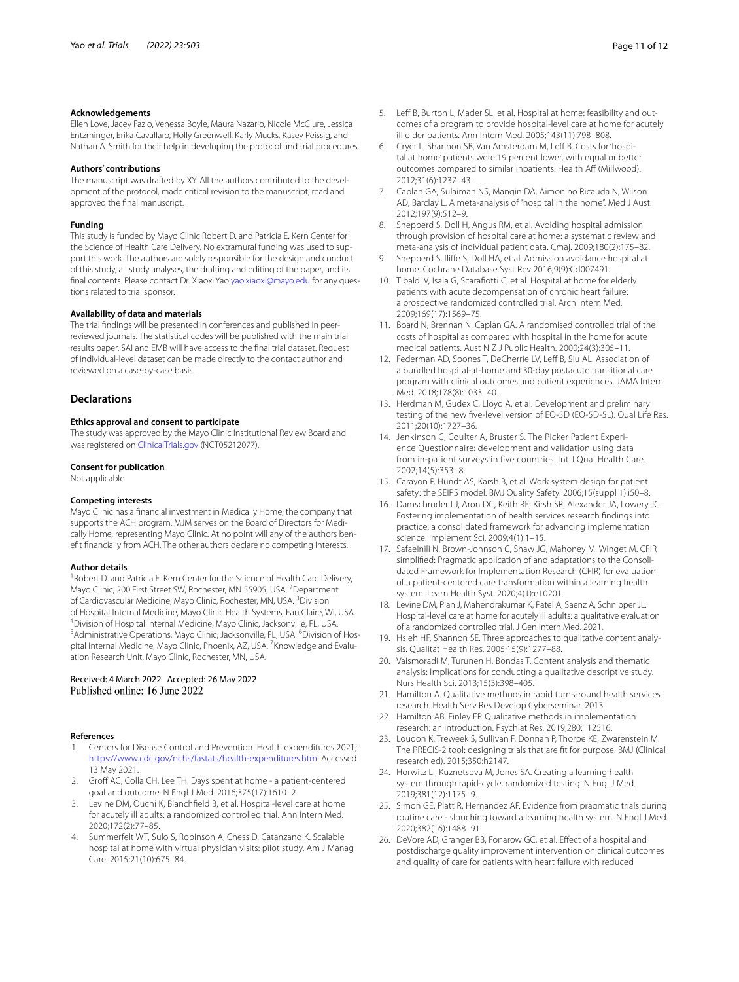#### **Acknowledgements**

Ellen Love, Jacey Fazio, Venessa Boyle, Maura Nazario, Nicole McClure, Jessica Entzminger, Erika Cavallaro, Holly Greenwell, Karly Mucks, Kasey Peissig, and Nathan A. Smith for their help in developing the protocol and trial procedures.

#### **Authors' contributions**

The manuscript was drafted by XY. All the authors contributed to the development of the protocol, made critical revision to the manuscript, read and approved the fnal manuscript.

#### **Funding**

This study is funded by Mayo Clinic Robert D. and Patricia E. Kern Center for the Science of Health Care Delivery. No extramural funding was used to support this work. The authors are solely responsible for the design and conduct of this study, all study analyses, the drafting and editing of the paper, and its final contents. Please contact Dr. Xiaoxi Yao<yao.xiaoxi@mayo.edu>for any questions related to trial sponsor.

#### **Availability of data and materials**

The trial fndings will be presented in conferences and published in peerreviewed journals. The statistical codes will be published with the main trial results paper. SAI and EMB will have access to the fnal trial dataset. Request of individual-level dataset can be made directly to the contact author and reviewed on a case-by-case basis.

#### **Declarations**

#### **Ethics approval and consent to participate**

The study was approved by the Mayo Clinic Institutional Review Board and was registered on [ClinicalTrials.gov](http://clinicaltrials.gov) (NCT05212077).

#### **Consent for publication**

Not applicable

#### **Competing interests**

Mayo Clinic has a fnancial investment in Medically Home, the company that supports the ACH program. MJM serves on the Board of Directors for Medically Home, representing Mayo Clinic. At no point will any of the authors beneft fnancially from ACH. The other authors declare no competing interests.

#### **Author details**

<sup>1</sup> Robert D. and Patricia E. Kern Center for the Science of Health Care Delivery, Mayo Clinic, 200 First Street SW, Rochester, MN 55905, USA. <sup>2</sup>Department of Cardiovascular Medicine, Mayo Clinic, Rochester, MN, USA. <sup>3</sup> Division of Hospital Internal Medicine, Mayo Clinic Health Systems, Eau Claire, WI, USA. 4 <sup>4</sup> Division of Hospital Internal Medicine, Mayo Clinic, Jacksonville, FL, USA. Administrative Operations, Mayo Clinic, Jacksonville, FL, USA. <sup>6</sup>Division of Hospital Internal Medicine, Mayo Clinic, Phoenix, AZ, USA. <sup>7</sup>Knowledge and Evaluation Research Unit, Mayo Clinic, Rochester, MN, USA.

# Received: 4 March 2022 Accepted: 26 May 2022<br>Published online: 16 June 2022

#### **References**

- <span id="page-10-0"></span>1. Centers for Disease Control and Prevention. Health expenditures 2021; [https://www.cdc.gov/nchs/fastats/health-expenditures.htm.](https://www.cdc.gov/nchs/fastats/health-expenditures.htm) Accessed 13 May 2021.
- <span id="page-10-1"></span>2. Groff AC, Colla CH, Lee TH. Days spent at home - a patient-centered goal and outcome. N Engl J Med. 2016;375(17):1610–2.
- <span id="page-10-2"></span>3. Levine DM, Ouchi K, Blanchfeld B, et al. Hospital-level care at home for acutely ill adults: a randomized controlled trial. Ann Intern Med. 2020;172(2):77–85.
- Summerfelt WT, Sulo S, Robinson A, Chess D, Catanzano K. Scalable hospital at home with virtual physician visits: pilot study. Am J Manag Care. 2015;21(10):675–84.
- 5. Leff B, Burton L, Mader SL, et al. Hospital at home: feasibility and outcomes of a program to provide hospital-level care at home for acutely ill older patients. Ann Intern Med. 2005;143(11):798–808.
- 6. Cryer L, Shannon SB, Van Amsterdam M, Leff B. Costs for 'hospital at home' patients were 19 percent lower, with equal or better outcomes compared to similar inpatients. Health Aff (Millwood). 2012;31(6):1237–43.
- 7. Caplan GA, Sulaiman NS, Mangin DA, Aimonino Ricauda N, Wilson AD, Barclay L. A meta-analysis of "hospital in the home". Med J Aust. 2012;197(9):512–9.
- 8. Shepperd S, Doll H, Angus RM, et al. Avoiding hospital admission through provision of hospital care at home: a systematic review and meta-analysis of individual patient data. Cmaj. 2009;180(2):175–82.
- <span id="page-10-3"></span>Shepperd S, Iliffe S, Doll HA, et al. Admission avoidance hospital at home. Cochrane Database Syst Rev 2016;9(9):Cd007491.
- <span id="page-10-4"></span>10. Tibaldi V, Isaia G, Scarafotti C, et al. Hospital at home for elderly patients with acute decompensation of chronic heart failure: a prospective randomized controlled trial. Arch Intern Med. 2009;169(17):1569–75.
- 11. Board N, Brennan N, Caplan GA. A randomised controlled trial of the costs of hospital as compared with hospital in the home for acute medical patients. Aust N Z J Public Health. 2000;24(3):305–11.
- <span id="page-10-5"></span>12. Federman AD, Soones T, DeCherrie LV, Leff B, Siu AL. Association of a bundled hospital-at-home and 30-day postacute transitional care program with clinical outcomes and patient experiences. JAMA Intern Med. 2018;178(8):1033–40.
- <span id="page-10-6"></span>13. Herdman M, Gudex C, Lloyd A, et al. Development and preliminary testing of the new fve-level version of EQ-5D (EQ-5D-5L). Qual Life Res. 2011;20(10):1727–36.
- <span id="page-10-7"></span>14. Jenkinson C, Coulter A, Bruster S. The Picker Patient Experience Questionnaire: development and validation using data from in-patient surveys in five countries. Int J Qual Health Care. 2002;14(5):353–8.
- <span id="page-10-8"></span>15. Carayon P, Hundt AS, Karsh B, et al. Work system design for patient safety: the SEIPS model. BMJ Quality Safety. 2006;15(suppl 1):i50–8.
- <span id="page-10-9"></span>16. Damschroder LJ, Aron DC, Keith RE, Kirsh SR, Alexander JA, Lowery JC. Fostering implementation of health services research fndings into practice: a consolidated framework for advancing implementation science. Implement Sci. 2009;4(1):1–15.
- <span id="page-10-10"></span>17. Safaeinili N, Brown-Johnson C, Shaw JG, Mahoney M, Winget M. CFIR simplifed: Pragmatic application of and adaptations to the Consolidated Framework for Implementation Research (CFIR) for evaluation of a patient-centered care transformation within a learning health system. Learn Health Syst. 2020;4(1):e10201.
- <span id="page-10-11"></span>18. Levine DM, Pian J, Mahendrakumar K, Patel A, Saenz A, Schnipper JL. Hospital-level care at home for acutely ill adults: a qualitative evaluation of a randomized controlled trial. J Gen Intern Med. 2021.
- <span id="page-10-12"></span>19. Hsieh HF, Shannon SE. Three approaches to qualitative content analysis. Qualitat Health Res. 2005;15(9):1277–88.
- <span id="page-10-13"></span>20. Vaismoradi M, Turunen H, Bondas T. Content analysis and thematic analysis: Implications for conducting a qualitative descriptive study. Nurs Health Sci. 2013;15(3):398–405.
- <span id="page-10-14"></span>21. Hamilton A. Qualitative methods in rapid turn-around health services research. Health Serv Res Develop Cyberseminar. 2013.
- <span id="page-10-15"></span>22. Hamilton AB, Finley EP. Qualitative methods in implementation research: an introduction. Psychiat Res. 2019;280:112516.
- <span id="page-10-16"></span>23. Loudon K, Treweek S, Sullivan F, Donnan P, Thorpe KE, Zwarenstein M. The PRECIS-2 tool: designing trials that are ft for purpose. BMJ (Clinical research ed). 2015;350:h2147.
- <span id="page-10-17"></span>24. Horwitz LI, Kuznetsova M, Jones SA. Creating a learning health system through rapid-cycle, randomized testing. N Engl J Med. 2019;381(12):1175–9.
- <span id="page-10-18"></span>25. Simon GE, Platt R, Hernandez AF. Evidence from pragmatic trials during routine care - slouching toward a learning health system. N Engl J Med. 2020;382(16):1488–91.
- <span id="page-10-19"></span>26. DeVore AD, Granger BB, Fonarow GC, et al. Efect of a hospital and postdischarge quality improvement intervention on clinical outcomes and quality of care for patients with heart failure with reduced